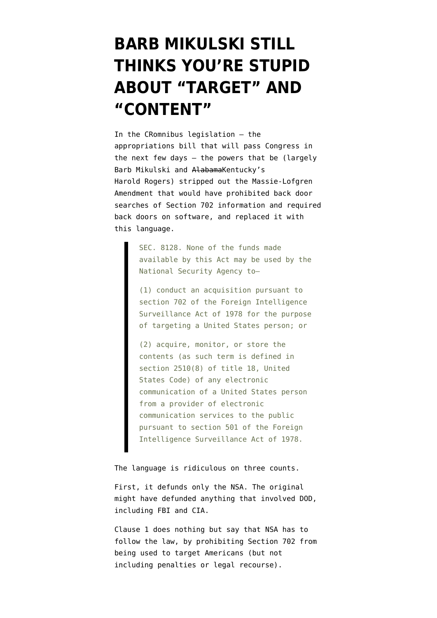## **[BARB MIKULSKI STILL](https://www.emptywheel.net/2014/12/09/barb-mikulski-still-thinks-youre-stupid-about-target-and-content/) [THINKS YOU'RE STUPID](https://www.emptywheel.net/2014/12/09/barb-mikulski-still-thinks-youre-stupid-about-target-and-content/) [ABOUT "TARGET" AND](https://www.emptywheel.net/2014/12/09/barb-mikulski-still-thinks-youre-stupid-about-target-and-content/) ["CONTENT"](https://www.emptywheel.net/2014/12/09/barb-mikulski-still-thinks-youre-stupid-about-target-and-content/)**

In the CRomnibus legislation — the appropriations bill that will pass Congress in the next few days — the powers that be (largely Barb Mikulski and AlabamaKentucky's Harold Rogers) stripped out the [Massie-Lofgren](http://massie.house.gov/press-release/house-debate-amendment-curb-government-access-private-data) [Amendment](http://massie.house.gov/press-release/house-debate-amendment-curb-government-access-private-data) that would have prohibited back door searches of Section 702 information and required back doors on software, and replaced it with this language.

> SEC. 8128. None of the funds made available by this Act may be used by the National Security Agency to—

> (1) conduct an acquisition pursuant to section 702 of the Foreign Intelligence Surveillance Act of 1978 for the purpose of targeting a United States person; or

(2) acquire, monitor, or store the contents (as such term is defined in section 2510(8) of title 18, United States Code) of any electronic communication of a United States person from a provider of electronic communication services to the public pursuant to section 501 of the Foreign Intelligence Surveillance Act of 1978.

The language is ridiculous on three counts.

First, it defunds only the NSA. The original [might have defunded](https://www.emptywheel.net/2014/06/20/massie-lofgren-would-shut-down-all-back-door-searches-under-section-702/) anything that involved DOD, including FBI and CIA.

Clause 1 does nothing but say that NSA has to follow the law, by prohibiting Section 702 from being used to target Americans (but not including penalties or legal recourse).